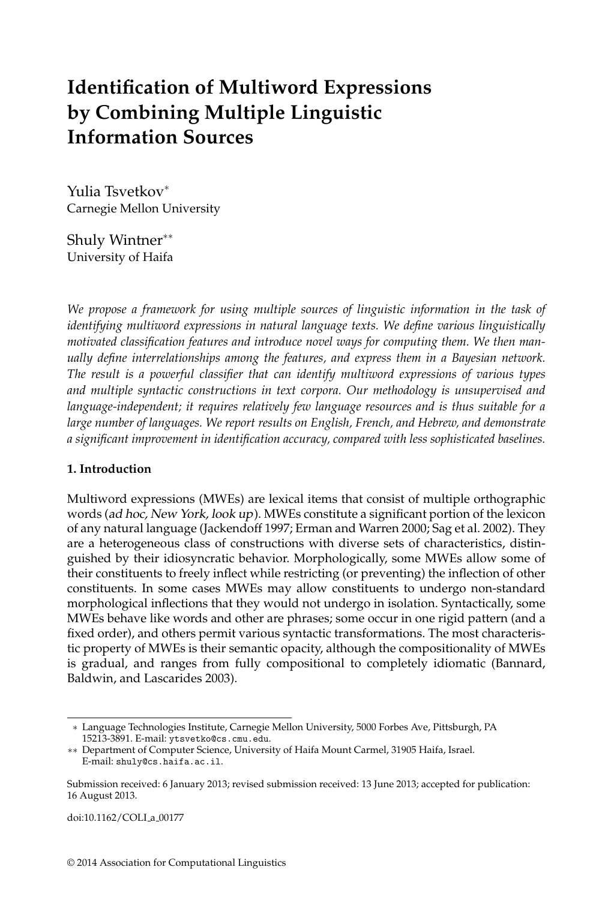# **Identification of Multiword Expressions by Combining Multiple Linguistic Information Sources**

Yulia Tsvetkov<sup>∗</sup> Carnegie Mellon University

Shuly Wintner∗∗ University of Haifa

*We propose a framework for using multiple sources of linguistic information in the task of identifying multiword expressions in natural language texts. We define various linguistically motivated classification features and introduce novel ways for computing them. We then manually define interrelationships among the features, and express them in a Bayesian network. The result is a powerful classifier that can identify multiword expressions of various types and multiple syntactic constructions in text corpora. Our methodology is unsupervised and language-independent; it requires relatively few language resources and is thus suitable for a large number of languages. We report results on English, French, and Hebrew, and demonstrate a significant improvement in identification accuracy, compared with less sophisticated baselines.*

#### **1. Introduction**

Multiword expressions (MWEs) are lexical items that consist of multiple orthographic words (ad hoc, New York, look up). MWEs constitute a significant portion of the lexicon of any natural language (Jackendoff 1997; Erman and Warren 2000; Sag et al. 2002). They are a heterogeneous class of constructions with diverse sets of characteristics, distinguished by their idiosyncratic behavior. Morphologically, some MWEs allow some of their constituents to freely inflect while restricting (or preventing) the inflection of other constituents. In some cases MWEs may allow constituents to undergo non-standard morphological inflections that they would not undergo in isolation. Syntactically, some MWEs behave like words and other are phrases; some occur in one rigid pattern (and a fixed order), and others permit various syntactic transformations. The most characteristic property of MWEs is their semantic opacity, although the compositionality of MWEs is gradual, and ranges from fully compositional to completely idiomatic (Bannard, Baldwin, and Lascarides 2003).

doi:10.1162/COLI a 00177

<sup>∗</sup> Language Technologies Institute, Carnegie Mellon University, 5000 Forbes Ave, Pittsburgh, PA 15213-3891. E-mail: ytsvetko@cs.cmu.edu.

<sup>∗∗</sup> Department of Computer Science, University of Haifa Mount Carmel, 31905 Haifa, Israel. E-mail: shuly@cs.haifa.ac.il.

Submission received: 6 January 2013; revised submission received: 13 June 2013; accepted for publication: 16 August 2013.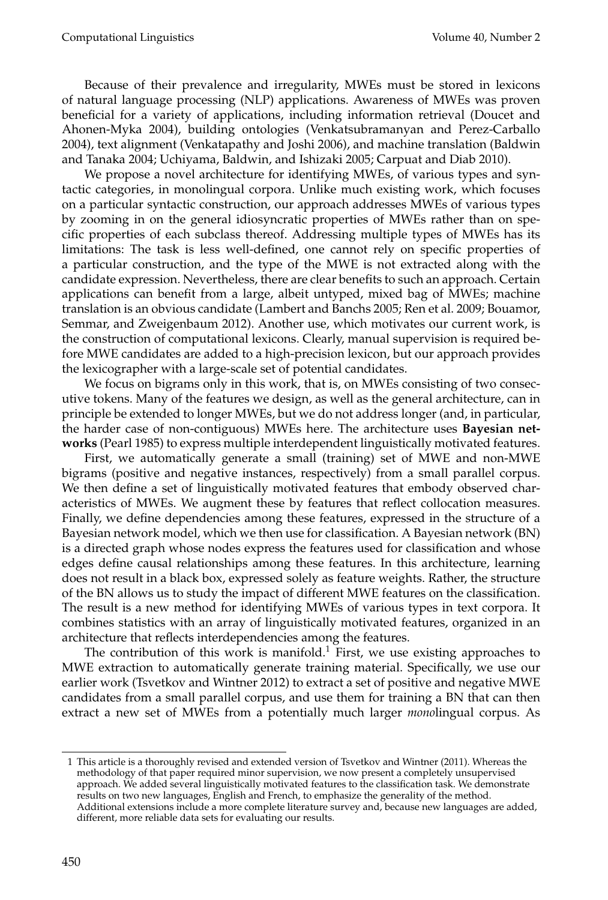Because of their prevalence and irregularity, MWEs must be stored in lexicons of natural language processing (NLP) applications. Awareness of MWEs was proven beneficial for a variety of applications, including information retrieval (Doucet and Ahonen-Myka 2004), building ontologies (Venkatsubramanyan and Perez-Carballo 2004), text alignment (Venkatapathy and Joshi 2006), and machine translation (Baldwin and Tanaka 2004; Uchiyama, Baldwin, and Ishizaki 2005; Carpuat and Diab 2010).

We propose a novel architecture for identifying MWEs, of various types and syntactic categories, in monolingual corpora. Unlike much existing work, which focuses on a particular syntactic construction, our approach addresses MWEs of various types by zooming in on the general idiosyncratic properties of MWEs rather than on specific properties of each subclass thereof. Addressing multiple types of MWEs has its limitations: The task is less well-defined, one cannot rely on specific properties of a particular construction, and the type of the MWE is not extracted along with the candidate expression. Nevertheless, there are clear benefits to such an approach. Certain applications can benefit from a large, albeit untyped, mixed bag of MWEs; machine translation is an obvious candidate (Lambert and Banchs 2005; Ren et al. 2009; Bouamor, Semmar, and Zweigenbaum 2012). Another use, which motivates our current work, is the construction of computational lexicons. Clearly, manual supervision is required before MWE candidates are added to a high-precision lexicon, but our approach provides the lexicographer with a large-scale set of potential candidates.

We focus on bigrams only in this work, that is, on MWEs consisting of two consecutive tokens. Many of the features we design, as well as the general architecture, can in principle be extended to longer MWEs, but we do not address longer (and, in particular, the harder case of non-contiguous) MWEs here. The architecture uses **Bayesian networks** (Pearl 1985) to express multiple interdependent linguistically motivated features.

First, we automatically generate a small (training) set of MWE and non-MWE bigrams (positive and negative instances, respectively) from a small parallel corpus. We then define a set of linguistically motivated features that embody observed characteristics of MWEs. We augment these by features that reflect collocation measures. Finally, we define dependencies among these features, expressed in the structure of a Bayesian network model, which we then use for classification. A Bayesian network (BN) is a directed graph whose nodes express the features used for classification and whose edges define causal relationships among these features. In this architecture, learning does not result in a black box, expressed solely as feature weights. Rather, the structure of the BN allows us to study the impact of different MWE features on the classification. The result is a new method for identifying MWEs of various types in text corpora. It combines statistics with an array of linguistically motivated features, organized in an architecture that reflects interdependencies among the features.

The contribution of this work is manifold.<sup>1</sup> First, we use existing approaches to MWE extraction to automatically generate training material. Specifically, we use our earlier work (Tsvetkov and Wintner 2012) to extract a set of positive and negative MWE candidates from a small parallel corpus, and use them for training a BN that can then extract a new set of MWEs from a potentially much larger *mono*lingual corpus. As

<sup>1</sup> This article is a thoroughly revised and extended version of Tsvetkov and Wintner (2011). Whereas the methodology of that paper required minor supervision, we now present a completely unsupervised approach. We added several linguistically motivated features to the classification task. We demonstrate results on two new languages, English and French, to emphasize the generality of the method. Additional extensions include a more complete literature survey and, because new languages are added, different, more reliable data sets for evaluating our results.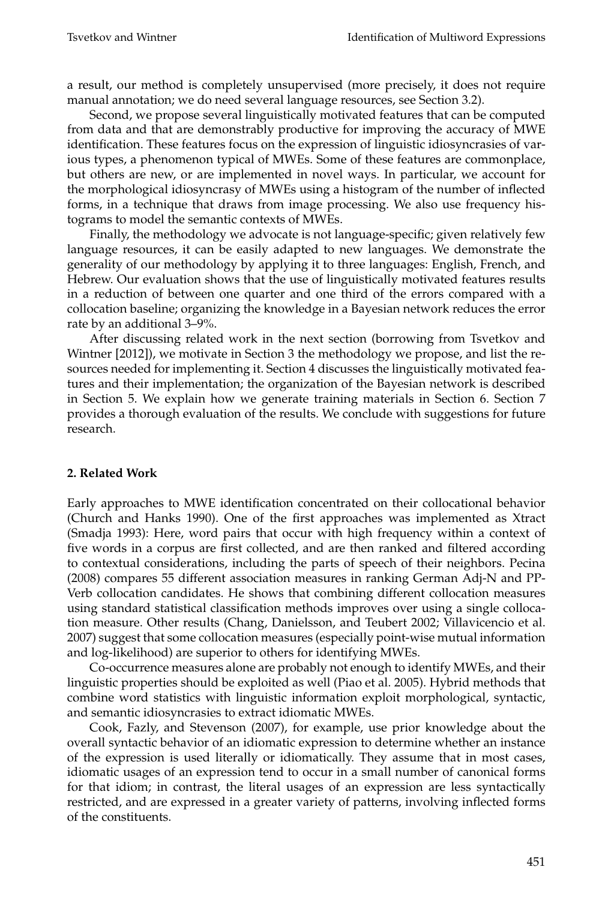a result, our method is completely unsupervised (more precisely, it does not require manual annotation; we do need several language resources, see Section 3.2).

Second, we propose several linguistically motivated features that can be computed from data and that are demonstrably productive for improving the accuracy of MWE identification. These features focus on the expression of linguistic idiosyncrasies of various types, a phenomenon typical of MWEs. Some of these features are commonplace, but others are new, or are implemented in novel ways. In particular, we account for the morphological idiosyncrasy of MWEs using a histogram of the number of inflected forms, in a technique that draws from image processing. We also use frequency histograms to model the semantic contexts of MWEs.

Finally, the methodology we advocate is not language-specific; given relatively few language resources, it can be easily adapted to new languages. We demonstrate the generality of our methodology by applying it to three languages: English, French, and Hebrew. Our evaluation shows that the use of linguistically motivated features results in a reduction of between one quarter and one third of the errors compared with a collocation baseline; organizing the knowledge in a Bayesian network reduces the error rate by an additional 3–9%.

After discussing related work in the next section (borrowing from Tsvetkov and Wintner [2012]), we motivate in Section 3 the methodology we propose, and list the resources needed for implementing it. Section 4 discusses the linguistically motivated features and their implementation; the organization of the Bayesian network is described in Section 5. We explain how we generate training materials in Section 6. Section 7 provides a thorough evaluation of the results. We conclude with suggestions for future research.

#### **2. Related Work**

Early approaches to MWE identification concentrated on their collocational behavior (Church and Hanks 1990). One of the first approaches was implemented as Xtract (Smadja 1993): Here, word pairs that occur with high frequency within a context of five words in a corpus are first collected, and are then ranked and filtered according to contextual considerations, including the parts of speech of their neighbors. Pecina (2008) compares 55 different association measures in ranking German Adj-N and PP-Verb collocation candidates. He shows that combining different collocation measures using standard statistical classification methods improves over using a single collocation measure. Other results (Chang, Danielsson, and Teubert 2002; Villavicencio et al. 2007) suggest that some collocation measures (especially point-wise mutual information and log-likelihood) are superior to others for identifying MWEs.

Co-occurrence measures alone are probably not enough to identify MWEs, and their linguistic properties should be exploited as well (Piao et al. 2005). Hybrid methods that combine word statistics with linguistic information exploit morphological, syntactic, and semantic idiosyncrasies to extract idiomatic MWEs.

Cook, Fazly, and Stevenson (2007), for example, use prior knowledge about the overall syntactic behavior of an idiomatic expression to determine whether an instance of the expression is used literally or idiomatically. They assume that in most cases, idiomatic usages of an expression tend to occur in a small number of canonical forms for that idiom; in contrast, the literal usages of an expression are less syntactically restricted, and are expressed in a greater variety of patterns, involving inflected forms of the constituents.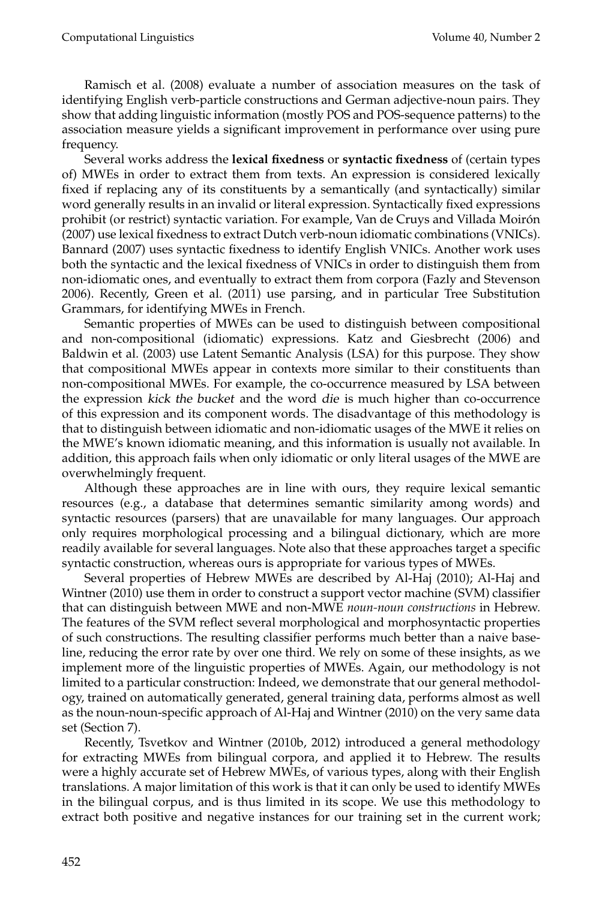Ramisch et al. (2008) evaluate a number of association measures on the task of identifying English verb-particle constructions and German adjective-noun pairs. They show that adding linguistic information (mostly POS and POS-sequence patterns) to the association measure yields a significant improvement in performance over using pure frequency.

Several works address the **lexical fixedness** or **syntactic fixedness** of (certain types of) MWEs in order to extract them from texts. An expression is considered lexically fixed if replacing any of its constituents by a semantically (and syntactically) similar word generally results in an invalid or literal expression. Syntactically fixed expressions prohibit (or restrict) syntactic variation. For example, Van de Cruys and Villada Moiron´ (2007) use lexical fixedness to extract Dutch verb-noun idiomatic combinations (VNICs). Bannard (2007) uses syntactic fixedness to identify English VNICs. Another work uses both the syntactic and the lexical fixedness of VNICs in order to distinguish them from non-idiomatic ones, and eventually to extract them from corpora (Fazly and Stevenson 2006). Recently, Green et al. (2011) use parsing, and in particular Tree Substitution Grammars, for identifying MWEs in French.

Semantic properties of MWEs can be used to distinguish between compositional and non-compositional (idiomatic) expressions. Katz and Giesbrecht (2006) and Baldwin et al. (2003) use Latent Semantic Analysis (LSA) for this purpose. They show that compositional MWEs appear in contexts more similar to their constituents than non-compositional MWEs. For example, the co-occurrence measured by LSA between the expression kick the bucket and the word die is much higher than co-occurrence of this expression and its component words. The disadvantage of this methodology is that to distinguish between idiomatic and non-idiomatic usages of the MWE it relies on the MWE's known idiomatic meaning, and this information is usually not available. In addition, this approach fails when only idiomatic or only literal usages of the MWE are overwhelmingly frequent.

Although these approaches are in line with ours, they require lexical semantic resources (e.g., a database that determines semantic similarity among words) and syntactic resources (parsers) that are unavailable for many languages. Our approach only requires morphological processing and a bilingual dictionary, which are more readily available for several languages. Note also that these approaches target a specific syntactic construction, whereas ours is appropriate for various types of MWEs.

Several properties of Hebrew MWEs are described by Al-Haj (2010); Al-Haj and Wintner (2010) use them in order to construct a support vector machine (SVM) classifier that can distinguish between MWE and non-MWE *noun-noun constructions* in Hebrew. The features of the SVM reflect several morphological and morphosyntactic properties of such constructions. The resulting classifier performs much better than a naive baseline, reducing the error rate by over one third. We rely on some of these insights, as we implement more of the linguistic properties of MWEs. Again, our methodology is not limited to a particular construction: Indeed, we demonstrate that our general methodology, trained on automatically generated, general training data, performs almost as well as the noun-noun-specific approach of Al-Haj and Wintner (2010) on the very same data set (Section 7).

Recently, Tsvetkov and Wintner (2010b, 2012) introduced a general methodology for extracting MWEs from bilingual corpora, and applied it to Hebrew. The results were a highly accurate set of Hebrew MWEs, of various types, along with their English translations. A major limitation of this work is that it can only be used to identify MWEs in the bilingual corpus, and is thus limited in its scope. We use this methodology to extract both positive and negative instances for our training set in the current work;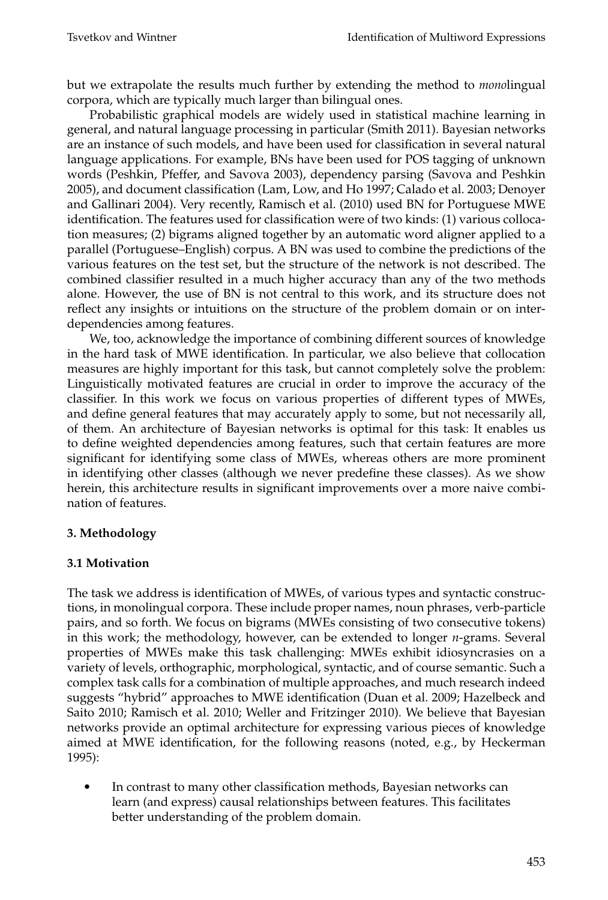but we extrapolate the results much further by extending the method to *mono*lingual corpora, which are typically much larger than bilingual ones.

Probabilistic graphical models are widely used in statistical machine learning in general, and natural language processing in particular (Smith 2011). Bayesian networks are an instance of such models, and have been used for classification in several natural language applications. For example, BNs have been used for POS tagging of unknown words (Peshkin, Pfeffer, and Savova 2003), dependency parsing (Savova and Peshkin 2005), and document classification (Lam, Low, and Ho 1997; Calado et al. 2003; Denoyer and Gallinari 2004). Very recently, Ramisch et al. (2010) used BN for Portuguese MWE identification. The features used for classification were of two kinds: (1) various collocation measures; (2) bigrams aligned together by an automatic word aligner applied to a parallel (Portuguese–English) corpus. A BN was used to combine the predictions of the various features on the test set, but the structure of the network is not described. The combined classifier resulted in a much higher accuracy than any of the two methods alone. However, the use of BN is not central to this work, and its structure does not reflect any insights or intuitions on the structure of the problem domain or on interdependencies among features.

We, too, acknowledge the importance of combining different sources of knowledge in the hard task of MWE identification. In particular, we also believe that collocation measures are highly important for this task, but cannot completely solve the problem: Linguistically motivated features are crucial in order to improve the accuracy of the classifier. In this work we focus on various properties of different types of MWEs, and define general features that may accurately apply to some, but not necessarily all, of them. An architecture of Bayesian networks is optimal for this task: It enables us to define weighted dependencies among features, such that certain features are more significant for identifying some class of MWEs, whereas others are more prominent in identifying other classes (although we never predefine these classes). As we show herein, this architecture results in significant improvements over a more naive combination of features.

#### **3. Methodology**

#### **3.1 Motivation**

The task we address is identification of MWEs, of various types and syntactic constructions, in monolingual corpora. These include proper names, noun phrases, verb-particle pairs, and so forth. We focus on bigrams (MWEs consisting of two consecutive tokens) in this work; the methodology, however, can be extended to longer *n*-grams. Several properties of MWEs make this task challenging: MWEs exhibit idiosyncrasies on a variety of levels, orthographic, morphological, syntactic, and of course semantic. Such a complex task calls for a combination of multiple approaches, and much research indeed suggests "hybrid" approaches to MWE identification (Duan et al. 2009; Hazelbeck and Saito 2010; Ramisch et al. 2010; Weller and Fritzinger 2010). We believe that Bayesian networks provide an optimal architecture for expressing various pieces of knowledge aimed at MWE identification, for the following reasons (noted, e.g., by Heckerman 1995):

 $\bullet$  In contrast to many other classification methods, Bayesian networks can learn (and express) causal relationships between features. This facilitates better understanding of the problem domain.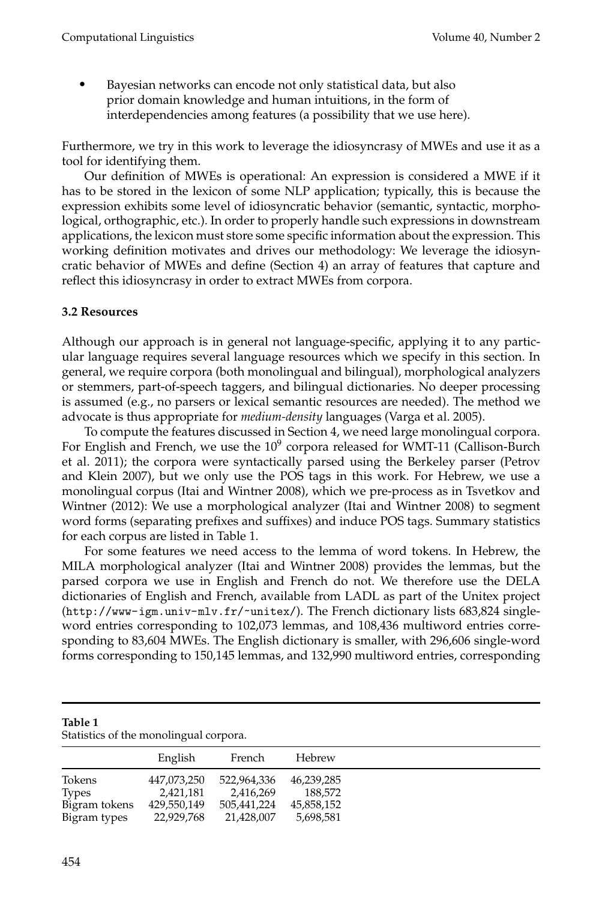- Bayesian networks can encode not only statistical data, but also prior domain knowledge and human intuitions, in the form of interdependencies among features (a possibility that we use here).

Furthermore, we try in this work to leverage the idiosyncrasy of MWEs and use it as a tool for identifying them.

Our definition of MWEs is operational: An expression is considered a MWE if it has to be stored in the lexicon of some NLP application; typically, this is because the expression exhibits some level of idiosyncratic behavior (semantic, syntactic, morphological, orthographic, etc.). In order to properly handle such expressions in downstream applications, the lexicon must store some specific information about the expression. This working definition motivates and drives our methodology: We leverage the idiosyncratic behavior of MWEs and define (Section 4) an array of features that capture and reflect this idiosyncrasy in order to extract MWEs from corpora.

### **3.2 Resources**

Although our approach is in general not language-specific, applying it to any particular language requires several language resources which we specify in this section. In general, we require corpora (both monolingual and bilingual), morphological analyzers or stemmers, part-of-speech taggers, and bilingual dictionaries. No deeper processing is assumed (e.g., no parsers or lexical semantic resources are needed). The method we advocate is thus appropriate for *medium-density* languages (Varga et al. 2005).

To compute the features discussed in Section 4, we need large monolingual corpora. For English and French, we use the  $10<sup>9</sup>$  corpora released for WMT-11 (Callison-Burch et al. 2011); the corpora were syntactically parsed using the Berkeley parser (Petrov and Klein 2007), but we only use the POS tags in this work. For Hebrew, we use a monolingual corpus (Itai and Wintner 2008), which we pre-process as in Tsvetkov and Wintner (2012): We use a morphological analyzer (Itai and Wintner 2008) to segment word forms (separating prefixes and suffixes) and induce POS tags. Summary statistics for each corpus are listed in Table 1.

For some features we need access to the lemma of word tokens. In Hebrew, the MILA morphological analyzer (Itai and Wintner 2008) provides the lemmas, but the parsed corpora we use in English and French do not. We therefore use the DELA dictionaries of English and French, available from LADL as part of the Unitex project (http://www-igm.univ-mlv.fr/~unitex/). The French dictionary lists 683,824 singleword entries corresponding to 102,073 lemmas, and 108,436 multiword entries corresponding to 83,604 MWEs. The English dictionary is smaller, with 296,606 single-word forms corresponding to 150,145 lemmas, and 132,990 multiword entries, corresponding

| <br>Statistics of the monolingual corpora. |             |             |            |  |
|--------------------------------------------|-------------|-------------|------------|--|
|                                            | English     | French      | Hebrew     |  |
| Tokens                                     | 447,073,250 | 522,964,336 | 46,239,285 |  |
| Types                                      | 2,421,181   | 2,416,269   | 188.572    |  |
| Bigram tokens                              | 429,550,149 | 505,441,224 | 45,858,152 |  |
| Bigram types                               | 22,929,768  | 21,428,007  | 5,698,581  |  |

**Table 1**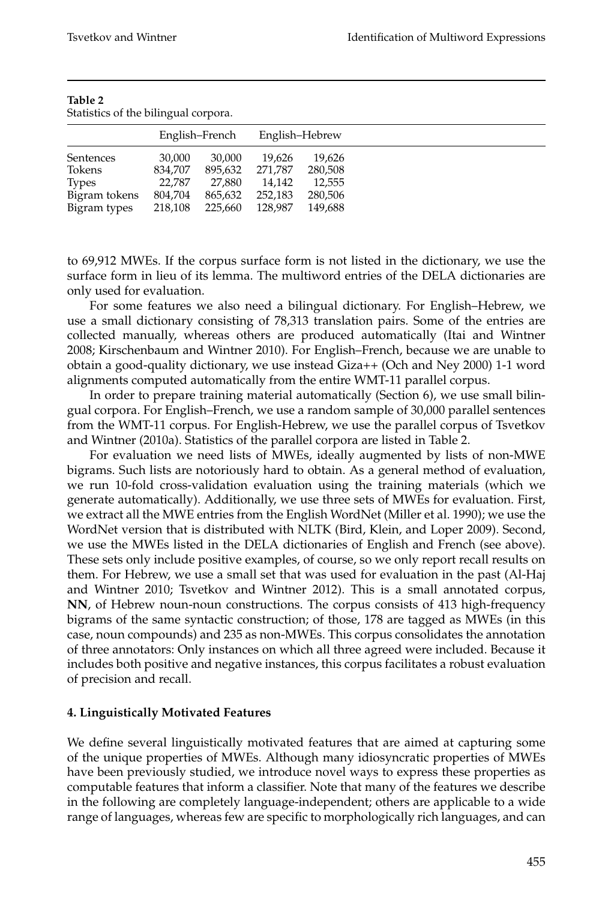|               | English-French |         | English-Hebrew |         |
|---------------|----------------|---------|----------------|---------|
| Sentences     | 30,000         | 30,000  | 19.626         | 19,626  |
| Tokens        | 834,707        | 895,632 | 271,787        | 280,508 |
| <b>Types</b>  | 22,787         | 27,880  | 14.142         | 12.555  |
| Bigram tokens | 804,704        | 865,632 | 252,183        | 280,506 |
| Bigram types  | 218,108        | 225,660 | 128.987        | 149.688 |

## **Table 2**

Statistics of the bilingual corpora.

to 69,912 MWEs. If the corpus surface form is not listed in the dictionary, we use the surface form in lieu of its lemma. The multiword entries of the DELA dictionaries are only used for evaluation.

For some features we also need a bilingual dictionary. For English–Hebrew, we use a small dictionary consisting of 78,313 translation pairs. Some of the entries are collected manually, whereas others are produced automatically (Itai and Wintner 2008; Kirschenbaum and Wintner 2010). For English–French, because we are unable to obtain a good-quality dictionary, we use instead Giza++ (Och and Ney 2000) 1-1 word alignments computed automatically from the entire WMT-11 parallel corpus.

In order to prepare training material automatically (Section 6), we use small bilingual corpora. For English–French, we use a random sample of 30,000 parallel sentences from the WMT-11 corpus. For English-Hebrew, we use the parallel corpus of Tsvetkov and Wintner (2010a). Statistics of the parallel corpora are listed in Table 2.

For evaluation we need lists of MWEs, ideally augmented by lists of non-MWE bigrams. Such lists are notoriously hard to obtain. As a general method of evaluation, we run 10-fold cross-validation evaluation using the training materials (which we generate automatically). Additionally, we use three sets of MWEs for evaluation. First, we extract all the MWE entries from the English WordNet (Miller et al. 1990); we use the WordNet version that is distributed with NLTK (Bird, Klein, and Loper 2009). Second, we use the MWEs listed in the DELA dictionaries of English and French (see above). These sets only include positive examples, of course, so we only report recall results on them. For Hebrew, we use a small set that was used for evaluation in the past (Al-Haj and Wintner 2010; Tsvetkov and Wintner 2012). This is a small annotated corpus, **NN**, of Hebrew noun-noun constructions. The corpus consists of 413 high-frequency bigrams of the same syntactic construction; of those, 178 are tagged as MWEs (in this case, noun compounds) and 235 as non-MWEs. This corpus consolidates the annotation of three annotators: Only instances on which all three agreed were included. Because it includes both positive and negative instances, this corpus facilitates a robust evaluation of precision and recall.

#### **4. Linguistically Motivated Features**

We define several linguistically motivated features that are aimed at capturing some of the unique properties of MWEs. Although many idiosyncratic properties of MWEs have been previously studied, we introduce novel ways to express these properties as computable features that inform a classifier. Note that many of the features we describe in the following are completely language-independent; others are applicable to a wide range of languages, whereas few are specific to morphologically rich languages, and can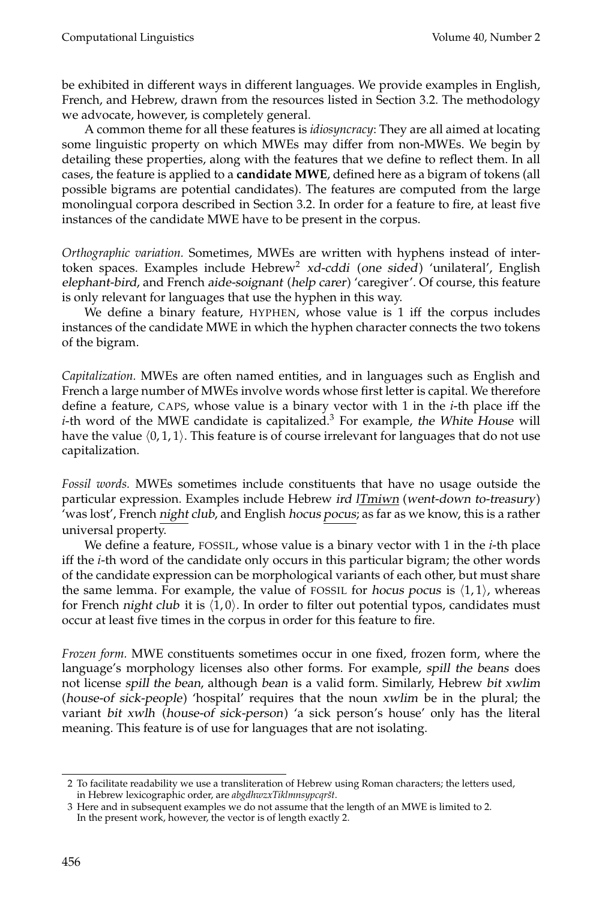be exhibited in different ways in different languages. We provide examples in English, French, and Hebrew, drawn from the resources listed in Section 3.2. The methodology we advocate, however, is completely general.

A common theme for all these features is *idiosyncracy*: They are all aimed at locating some linguistic property on which MWEs may differ from non-MWEs. We begin by detailing these properties, along with the features that we define to reflect them. In all cases, the feature is applied to a **candidate MWE**, defined here as a bigram of tokens (all possible bigrams are potential candidates). The features are computed from the large monolingual corpora described in Section 3.2. In order for a feature to fire, at least five instances of the candidate MWE have to be present in the corpus.

*Orthographic variation.* Sometimes, MWEs are written with hyphens instead of intertoken spaces. Examples include Hebrew<sup>2</sup> xd-cddi (one sided) 'unilateral', English elephant-bird, and French aide-soignant (help carer) 'caregiver'. Of course, this feature is only relevant for languages that use the hyphen in this way.

We define a binary feature, HYPHEN, whose value is 1 iff the corpus includes instances of the candidate MWE in which the hyphen character connects the two tokens of the bigram.

*Capitalization.* MWEs are often named entities, and in languages such as English and French a large number of MWEs involve words whose first letter is capital. We therefore define a feature, CAPS, whose value is a binary vector with 1 in the *i*-th place iff the *i*-th word of the MWE candidate is capitalized.<sup>3</sup> For example, the White House will have the value  $(0, 1, 1)$ . This feature is of course irrelevant for languages that do not use capitalization.

*Fossil words.* MWEs sometimes include constituents that have no usage outside the particular expression. Examples include Hebrew *ird lTmiwn* (went-down to-treasury) 'was lost', French night club, and English hocus pocus; as far as we know, this is a rather universal property.

We define a feature, FOSSIL, whose value is a binary vector with 1 in the *i*-th place iff the *i*-th word of the candidate only occurs in this particular bigram; the other words of the candidate expression can be morphological variants of each other, but must share the same lemma. For example, the value of FOSSIL for hocus pocus is  $\langle 1, 1 \rangle$ , whereas for French night club it is  $\langle 1, 0 \rangle$ . In order to filter out potential typos, candidates must occur at least five times in the corpus in order for this feature to fire.

*Frozen form.* MWE constituents sometimes occur in one fixed, frozen form, where the language's morphology licenses also other forms. For example, spill the beans does not license spill the bean, although bean is a valid form. Similarly, Hebrew bit xwlim (house-of sick-people) 'hospital' requires that the noun xwlim be in the plural; the variant bit xwlh (house-of sick-person) 'a sick person's house' only has the literal meaning. This feature is of use for languages that are not isolating.

<sup>2</sup> To facilitate readability we use a transliteration of Hebrew using Roman characters; the letters used, in Hebrew lexicographic order, are *abgdhwzxTiklmnsypcqršt*.

<sup>3</sup> Here and in subsequent examples we do not assume that the length of an MWE is limited to 2. In the present work, however, the vector is of length exactly 2.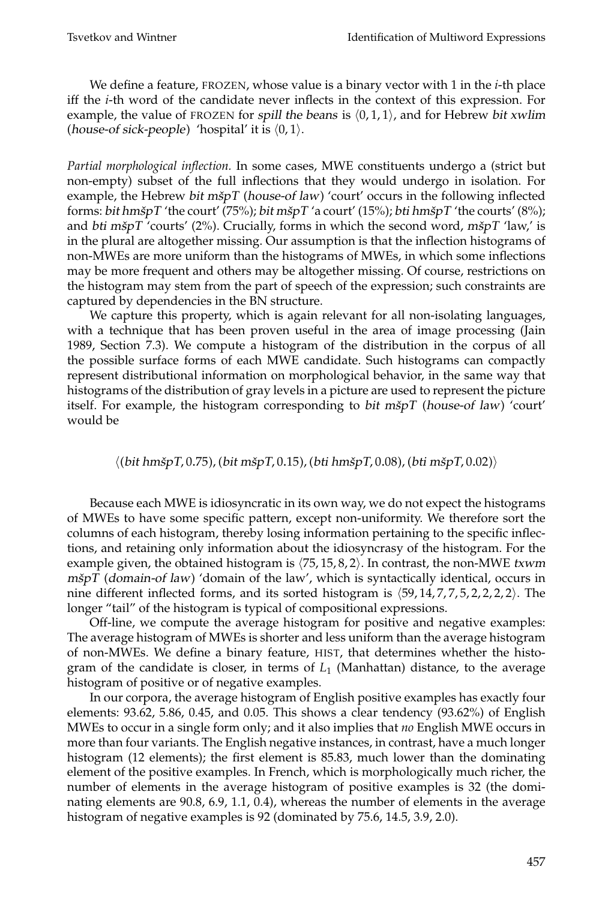We define a feature, FROZEN, whose value is a binary vector with 1 in the *i*-th place iff the *i*-th word of the candidate never inflects in the context of this expression. For example, the value of FROZEN for spill the beans is  $(0, 1, 1)$ , and for Hebrew bit xwlim (house-of sick-people) 'hospital' it is  $(0, 1)$ .

*Partial morphological inflection.* In some cases, MWE constituents undergo a (strict but non-empty) subset of the full inflections that they would undergo in isolation. For example, the Hebrew bit mspT (house-of law) 'court' occurs in the following inflected forms: bit hmšpT 'the court' (75%); bit mšpT 'a court' (15%); bti hmšpT 'the courts' (8%); and bti mšpT 'courts' (2%). Crucially, forms in which the second word, mšpT 'law,' is in the plural are altogether missing. Our assumption is that the inflection histograms of non-MWEs are more uniform than the histograms of MWEs, in which some inflections may be more frequent and others may be altogether missing. Of course, restrictions on the histogram may stem from the part of speech of the expression; such constraints are captured by dependencies in the BN structure.

We capture this property, which is again relevant for all non-isolating languages, with a technique that has been proven useful in the area of image processing (Jain 1989, Section 7.3). We compute a histogram of the distribution in the corpus of all the possible surface forms of each MWE candidate. Such histograms can compactly represent distributional information on morphological behavior, in the same way that histograms of the distribution of gray levels in a picture are used to represent the picture itself. For example, the histogram corresponding to bit mšpT (house-of law) 'court' would be

#### $\langle$ (bit hmšpT, 0.75), (bit mšpT, 0.15), (bti hmšpT, 0.08), (bti mšpT, 0.02) $\rangle$

Because each MWE is idiosyncratic in its own way, we do not expect the histograms of MWEs to have some specific pattern, except non-uniformity. We therefore sort the columns of each histogram, thereby losing information pertaining to the specific inflections, and retaining only information about the idiosyncrasy of the histogram. For the example given, the obtained histogram is  $(75, 15, 8, 2)$ . In contrast, the non-MWE txwm  $m\ddot{s}pT$  (domain-of law) 'domain of the law', which is syntactically identical, occurs in nine different inflected forms, and its sorted histogram is  $\langle 59, 14, 7, 7, 5, 2, 2, 2, 2 \rangle$ . The longer "tail" of the histogram is typical of compositional expressions.

Off-line, we compute the average histogram for positive and negative examples: The average histogram of MWEs is shorter and less uniform than the average histogram of non-MWEs. We define a binary feature, HIST, that determines whether the histogram of the candidate is closer, in terms of  $L_1$  (Manhattan) distance, to the average histogram of positive or of negative examples.

In our corpora, the average histogram of English positive examples has exactly four elements: 93.62, 5.86, 0.45, and 0.05. This shows a clear tendency (93.62%) of English MWEs to occur in a single form only; and it also implies that *no* English MWE occurs in more than four variants. The English negative instances, in contrast, have a much longer histogram (12 elements); the first element is 85.83, much lower than the dominating element of the positive examples. In French, which is morphologically much richer, the number of elements in the average histogram of positive examples is 32 (the dominating elements are 90.8, 6.9, 1.1, 0.4), whereas the number of elements in the average histogram of negative examples is 92 (dominated by 75.6, 14.5, 3.9, 2.0).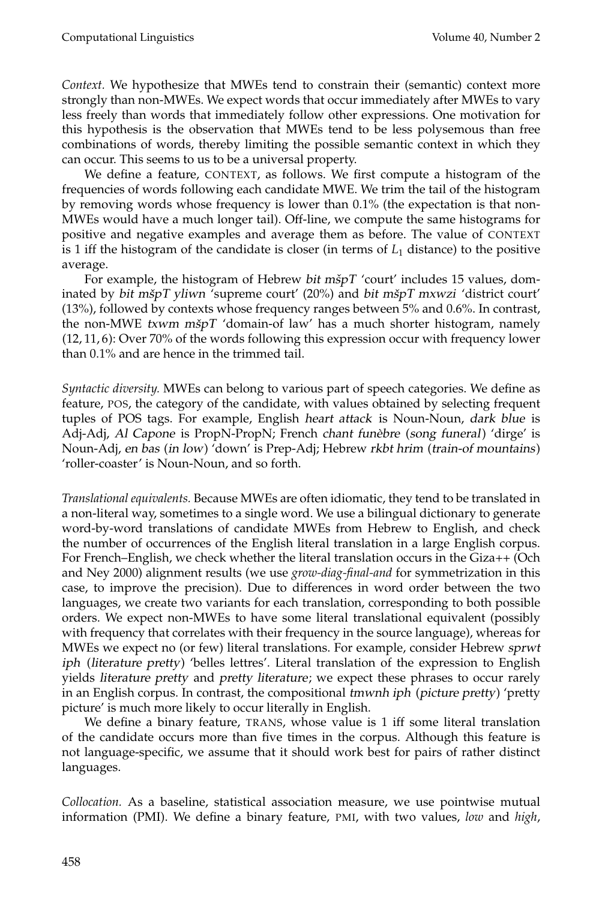*Context.* We hypothesize that MWEs tend to constrain their (semantic) context more strongly than non-MWEs. We expect words that occur immediately after MWEs to vary less freely than words that immediately follow other expressions. One motivation for this hypothesis is the observation that MWEs tend to be less polysemous than free combinations of words, thereby limiting the possible semantic context in which they can occur. This seems to us to be a universal property.

We define a feature, CONTEXT, as follows. We first compute a histogram of the frequencies of words following each candidate MWE. We trim the tail of the histogram by removing words whose frequency is lower than 0.1% (the expectation is that non-MWEs would have a much longer tail). Off-line, we compute the same histograms for positive and negative examples and average them as before. The value of CONTEXT is 1 iff the histogram of the candidate is closer (in terms of  $L_1$  distance) to the positive average.

For example, the histogram of Hebrew bit mspT 'court' includes 15 values, dominated by bit mšpT yliwn 'supreme court' (20%) and bit mšpT mxwzi 'district court' (13%), followed by contexts whose frequency ranges between 5% and 0.6%. In contrast, the non-MWE txwm mspT 'domain-of law' has a much shorter histogram, namely (12, 11, 6): Over 70% of the words following this expression occur with frequency lower than 0.1% and are hence in the trimmed tail.

*Syntactic diversity.* MWEs can belong to various part of speech categories. We define as feature, POS, the category of the candidate, with values obtained by selecting frequent tuples of POS tags. For example, English heart attack is Noun-Noun, dark blue is Adj-Adj, Al Capone is PropN-PropN; French chant funèbre (song funeral) 'dirge' is Noun-Adj, en bas (in low) 'down' is Prep-Adj; Hebrew rkbt hrim (train-of mountains) 'roller-coaster' is Noun-Noun, and so forth.

*Translational equivalents.* Because MWEs are often idiomatic, they tend to be translated in a non-literal way, sometimes to a single word. We use a bilingual dictionary to generate word-by-word translations of candidate MWEs from Hebrew to English, and check the number of occurrences of the English literal translation in a large English corpus. For French–English, we check whether the literal translation occurs in the Giza++ (Och and Ney 2000) alignment results (we use *grow-diag-final-and* for symmetrization in this case, to improve the precision). Due to differences in word order between the two languages, we create two variants for each translation, corresponding to both possible orders. We expect non-MWEs to have some literal translational equivalent (possibly with frequency that correlates with their frequency in the source language), whereas for MWEs we expect no (or few) literal translations. For example, consider Hebrew sprwt iph (literature pretty) 'belles lettres'. Literal translation of the expression to English yields literature pretty and pretty literature; we expect these phrases to occur rarely in an English corpus. In contrast, the compositional tmwnh iph (picture pretty) 'pretty picture' is much more likely to occur literally in English.

We define a binary feature, TRANS, whose value is 1 iff some literal translation of the candidate occurs more than five times in the corpus. Although this feature is not language-specific, we assume that it should work best for pairs of rather distinct languages.

*Collocation.* As a baseline, statistical association measure, we use pointwise mutual information (PMI). We define a binary feature, PMI, with two values, *low* and *high*,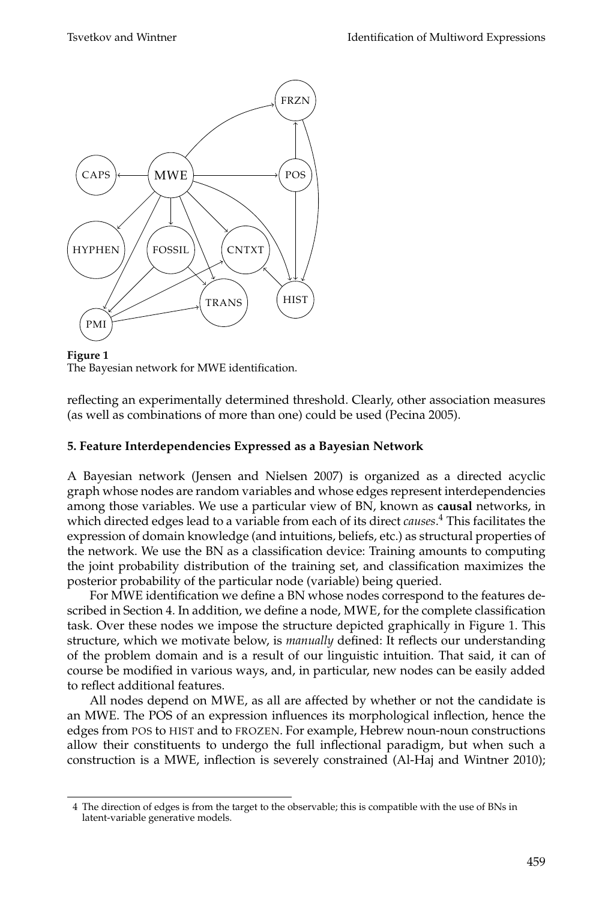

**Figure 1** The Bayesian network for MWE identification.

reflecting an experimentally determined threshold. Clearly, other association measures (as well as combinations of more than one) could be used (Pecina 2005).

### **5. Feature Interdependencies Expressed as a Bayesian Network**

A Bayesian network (Jensen and Nielsen 2007) is organized as a directed acyclic graph whose nodes are random variables and whose edges represent interdependencies among those variables. We use a particular view of BN, known as **causal** networks, in which directed edges lead to a variable from each of its direct *causes*. <sup>4</sup> This facilitates the expression of domain knowledge (and intuitions, beliefs, etc.) as structural properties of the network. We use the BN as a classification device: Training amounts to computing the joint probability distribution of the training set, and classification maximizes the posterior probability of the particular node (variable) being queried.

For MWE identification we define a BN whose nodes correspond to the features described in Section 4. In addition, we define a node, MWE, for the complete classification task. Over these nodes we impose the structure depicted graphically in Figure 1. This structure, which we motivate below, is *manually* defined: It reflects our understanding of the problem domain and is a result of our linguistic intuition. That said, it can of course be modified in various ways, and, in particular, new nodes can be easily added to reflect additional features.

All nodes depend on MWE, as all are affected by whether or not the candidate is an MWE. The POS of an expression influences its morphological inflection, hence the edges from POS to HIST and to FROZEN. For example, Hebrew noun-noun constructions allow their constituents to undergo the full inflectional paradigm, but when such a construction is a MWE, inflection is severely constrained (Al-Haj and Wintner 2010);

<sup>4</sup> The direction of edges is from the target to the observable; this is compatible with the use of BNs in latent-variable generative models.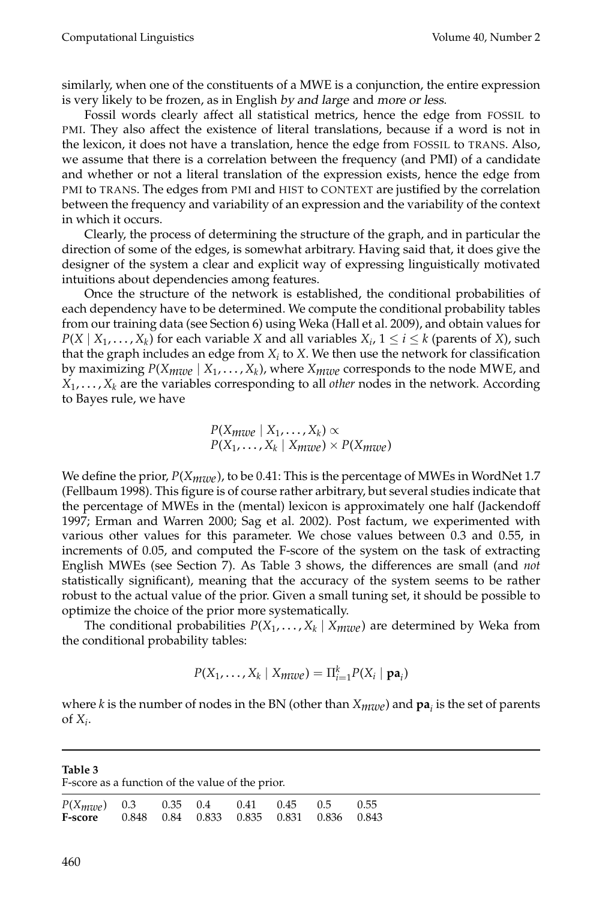similarly, when one of the constituents of a MWE is a conjunction, the entire expression is very likely to be frozen, as in English by and large and more or less.

Fossil words clearly affect all statistical metrics, hence the edge from FOSSIL to PMI. They also affect the existence of literal translations, because if a word is not in the lexicon, it does not have a translation, hence the edge from FOSSIL to TRANS. Also, we assume that there is a correlation between the frequency (and PMI) of a candidate and whether or not a literal translation of the expression exists, hence the edge from PMI to TRANS. The edges from PMI and HIST to CONTEXT are justified by the correlation between the frequency and variability of an expression and the variability of the context in which it occurs.

Clearly, the process of determining the structure of the graph, and in particular the direction of some of the edges, is somewhat arbitrary. Having said that, it does give the designer of the system a clear and explicit way of expressing linguistically motivated intuitions about dependencies among features.

Once the structure of the network is established, the conditional probabilities of each dependency have to be determined. We compute the conditional probability tables from our training data (see Section 6) using Weka (Hall et al. 2009), and obtain values for *P*(*X* | *X*<sub>1</sub>, ..., *X*<sub>k</sub>) for each variable *X* and all variables *X*<sub>i</sub>,  $1 \le i \le k$  (parents of *X*), such that the graph includes an edge from *Xi* to *X*. We then use the network for classification by maximizing *P*(*Xmwe* | *X*1, ... , *Xk* ), where *Xmwe* corresponds to the node MWE, and  $X_1, \ldots, X_k$  are the variables corresponding to all *other* nodes in the network. According to Bayes rule, we have

$$
P(X_{mwe} | X_1, \dots, X_k) \propto P(X_1, \dots, X_k | X_{mwe}) \times P(X_{mwe})
$$

We define the prior, *P*(*Xmwe*), to be 0.41: This is the percentage of MWEs in WordNet 1.7 (Fellbaum 1998). This figure is of course rather arbitrary, but several studies indicate that the percentage of MWEs in the (mental) lexicon is approximately one half (Jackendoff 1997; Erman and Warren 2000; Sag et al. 2002). Post factum, we experimented with various other values for this parameter. We chose values between 0.3 and 0.55, in increments of 0.05, and computed the F-score of the system on the task of extracting English MWEs (see Section 7). As Table 3 shows, the differences are small (and *not* statistically significant), meaning that the accuracy of the system seems to be rather robust to the actual value of the prior. Given a small tuning set, it should be possible to optimize the choice of the prior more systematically.

The conditional probabilities  $P(X_1, \ldots, X_k | X_{mwe})$  are determined by Weka from the conditional probability tables:

$$
P(X_1,\ldots,X_k \mid X_{mwe}) = \Pi_{i=1}^k P(X_i \mid \mathbf{pa}_i)
$$

where *k* is the number of nodes in the BN (other than  $X_{\text{mvve}}$ ) and  $\mathbf{pa}_i$  is the set of parents of  $X_i$ .

| Table 3                                          |  |
|--------------------------------------------------|--|
| F-score as a function of the value of the prior. |  |

| $P(X_{m\text{true}})$ 0.3 0.35 0.4 0.41 0.45 0.5 0.55   |  |  |  |  |
|---------------------------------------------------------|--|--|--|--|
| <b>F-score</b> 0.848 0.84 0.833 0.835 0.831 0.836 0.843 |  |  |  |  |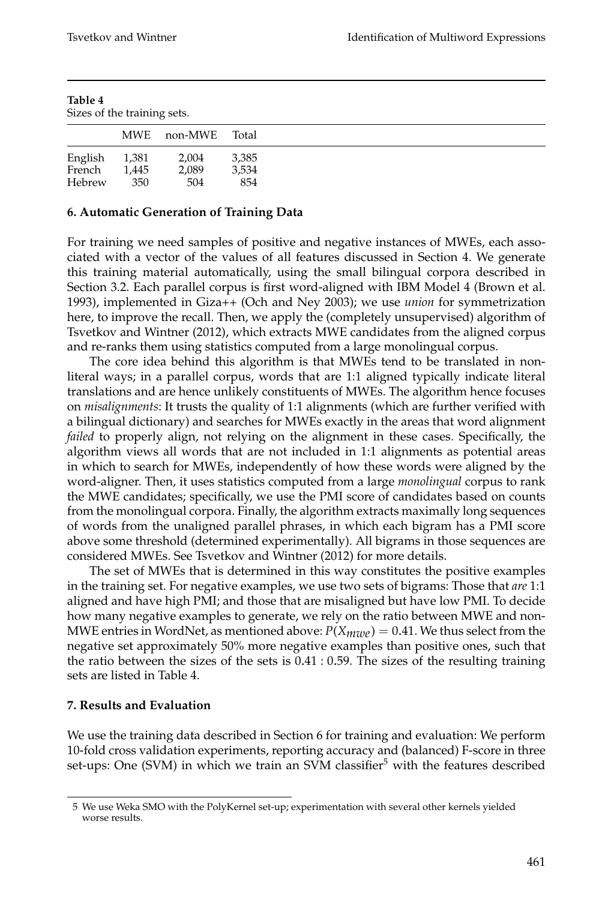Hebrew 350 504 854

| Table 4<br>Sizes of the training sets. |                |                   |                |  |  |
|----------------------------------------|----------------|-------------------|----------------|--|--|
|                                        |                | MWE non-MWE Total |                |  |  |
| English<br>French                      | 1,381<br>1.445 | 2,004<br>2.089    | 3,385<br>3.534 |  |  |

#### **6. Automatic Generation of Training Data**

For training we need samples of positive and negative instances of MWEs, each associated with a vector of the values of all features discussed in Section 4. We generate this training material automatically, using the small bilingual corpora described in Section 3.2. Each parallel corpus is first word-aligned with IBM Model 4 (Brown et al. 1993), implemented in Giza++ (Och and Ney 2003); we use *union* for symmetrization here, to improve the recall. Then, we apply the (completely unsupervised) algorithm of Tsvetkov and Wintner (2012), which extracts MWE candidates from the aligned corpus and re-ranks them using statistics computed from a large monolingual corpus.

The core idea behind this algorithm is that MWEs tend to be translated in nonliteral ways; in a parallel corpus, words that are 1:1 aligned typically indicate literal translations and are hence unlikely constituents of MWEs. The algorithm hence focuses on *misalignments*: It trusts the quality of 1:1 alignments (which are further verified with a bilingual dictionary) and searches for MWEs exactly in the areas that word alignment *failed* to properly align, not relying on the alignment in these cases. Specifically, the algorithm views all words that are not included in 1:1 alignments as potential areas in which to search for MWEs, independently of how these words were aligned by the word-aligner. Then, it uses statistics computed from a large *monolingual* corpus to rank the MWE candidates; specifically, we use the PMI score of candidates based on counts from the monolingual corpora. Finally, the algorithm extracts maximally long sequences of words from the unaligned parallel phrases, in which each bigram has a PMI score above some threshold (determined experimentally). All bigrams in those sequences are considered MWEs. See Tsvetkov and Wintner (2012) for more details.

The set of MWEs that is determined in this way constitutes the positive examples in the training set. For negative examples, we use two sets of bigrams: Those that *are* 1:1 aligned and have high PMI; and those that are misaligned but have low PMI. To decide how many negative examples to generate, we rely on the ratio between MWE and non-MWE entries in WordNet, as mentioned above:  $P(X_{mwe}) = 0.41$ . We thus select from the negative set approximately 50% more negative examples than positive ones, such that the ratio between the sizes of the sets is 0.41 : 0.59. The sizes of the resulting training sets are listed in Table 4.

#### **7. Results and Evaluation**

We use the training data described in Section 6 for training and evaluation: We perform 10-fold cross validation experiments, reporting accuracy and (balanced) F-score in three set-ups: One (SVM) in which we train an SVM classifier<sup>5</sup> with the features described

<sup>5</sup> We use Weka SMO with the PolyKernel set-up; experimentation with several other kernels yielded worse results.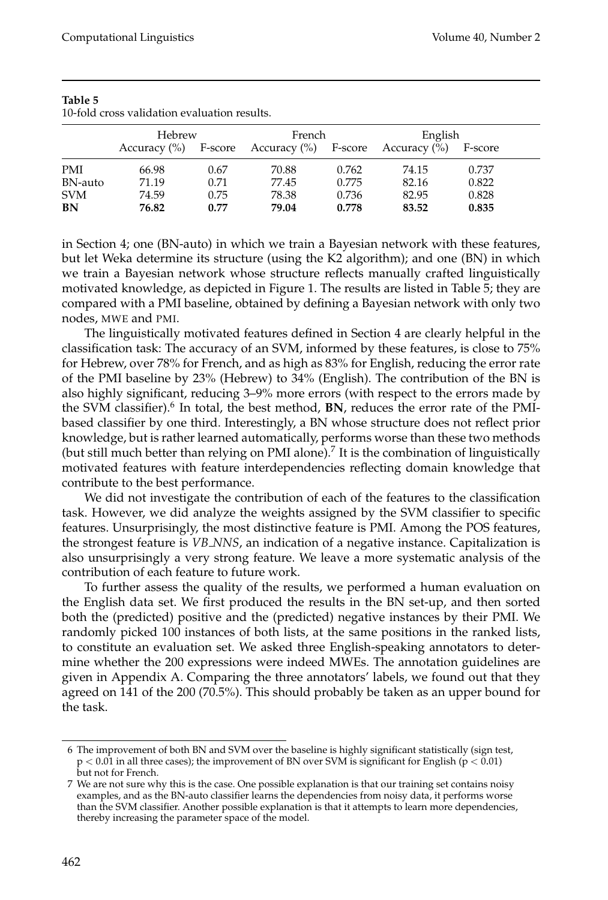|            | Hebrew |      | French                                                          |       | English |         |
|------------|--------|------|-----------------------------------------------------------------|-------|---------|---------|
|            |        |      | Accuracy $(\%)$ F-score Accuracy $(\%)$ F-score Accuracy $(\%)$ |       |         | F-score |
| PMI        | 66.98  | 0.67 | 70.88                                                           | 0.762 | 74.15   | 0.737   |
| BN-auto    | 71.19  | 0.71 | 77.45                                                           | 0.775 | 82.16   | 0.822   |
| <b>SVM</b> | 74.59  | 0.75 | 78.38                                                           | 0.736 | 82.95   | 0.828   |
| BN         | 76.82  | 0.77 | 79.04                                                           | 0.778 | 83.52   | 0.835   |

#### **Table 5** 10-fold cross validation evaluation results.

in Section 4; one (BN-auto) in which we train a Bayesian network with these features, but let Weka determine its structure (using the K2 algorithm); and one (BN) in which we train a Bayesian network whose structure reflects manually crafted linguistically motivated knowledge, as depicted in Figure 1. The results are listed in Table 5; they are compared with a PMI baseline, obtained by defining a Bayesian network with only two nodes, MWE and PMI.

The linguistically motivated features defined in Section 4 are clearly helpful in the classification task: The accuracy of an SVM, informed by these features, is close to 75% for Hebrew, over 78% for French, and as high as 83% for English, reducing the error rate of the PMI baseline by 23% (Hebrew) to 34% (English). The contribution of the BN is also highly significant, reducing 3–9% more errors (with respect to the errors made by the SVM classifier).<sup>6</sup> In total, the best method, **BN**, reduces the error rate of the PMIbased classifier by one third. Interestingly, a BN whose structure does not reflect prior knowledge, but is rather learned automatically, performs worse than these two methods (but still much better than relying on PMI alone).<sup>7</sup> It is the combination of linguistically motivated features with feature interdependencies reflecting domain knowledge that contribute to the best performance.

We did not investigate the contribution of each of the features to the classification task. However, we did analyze the weights assigned by the SVM classifier to specific features. Unsurprisingly, the most distinctive feature is PMI. Among the POS features, the strongest feature is *VB NNS*, an indication of a negative instance. Capitalization is also unsurprisingly a very strong feature. We leave a more systematic analysis of the contribution of each feature to future work.

To further assess the quality of the results, we performed a human evaluation on the English data set. We first produced the results in the BN set-up, and then sorted both the (predicted) positive and the (predicted) negative instances by their PMI. We randomly picked 100 instances of both lists, at the same positions in the ranked lists, to constitute an evaluation set. We asked three English-speaking annotators to determine whether the 200 expressions were indeed MWEs. The annotation guidelines are given in Appendix A. Comparing the three annotators' labels, we found out that they agreed on 141 of the 200 (70.5%). This should probably be taken as an upper bound for the task.

<sup>6</sup> The improvement of both BN and SVM over the baseline is highly significant statistically (sign test,  $p < 0.01$  in all three cases); the improvement of BN over SVM is significant for English ( $p < 0.01$ ) but not for French.

<sup>7</sup> We are not sure why this is the case. One possible explanation is that our training set contains noisy examples, and as the BN-auto classifier learns the dependencies from noisy data, it performs worse than the SVM classifier. Another possible explanation is that it attempts to learn more dependencies, thereby increasing the parameter space of the model.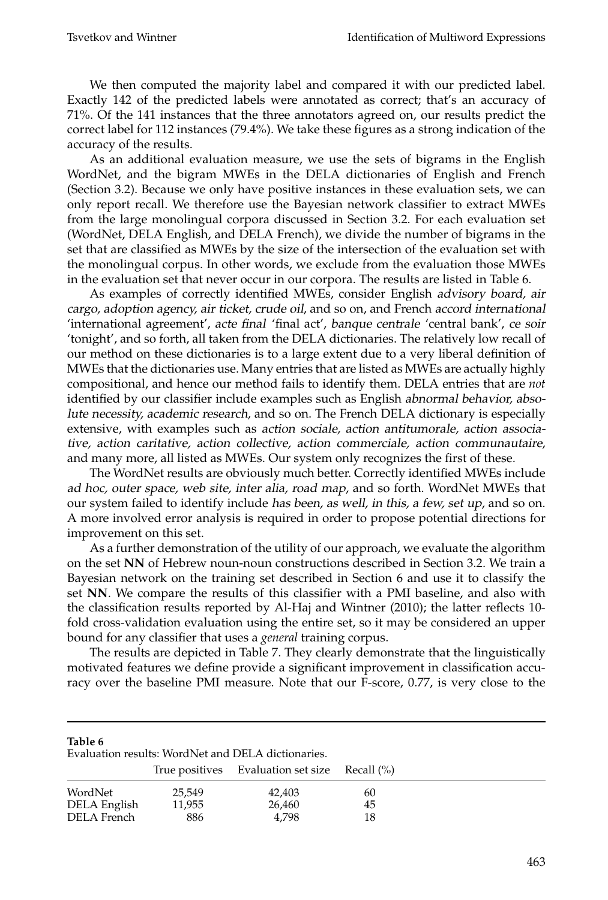We then computed the majority label and compared it with our predicted label. Exactly 142 of the predicted labels were annotated as correct; that's an accuracy of 71%. Of the 141 instances that the three annotators agreed on, our results predict the correct label for 112 instances (79.4%). We take these figures as a strong indication of the accuracy of the results.

As an additional evaluation measure, we use the sets of bigrams in the English WordNet, and the bigram MWEs in the DELA dictionaries of English and French (Section 3.2). Because we only have positive instances in these evaluation sets, we can only report recall. We therefore use the Bayesian network classifier to extract MWEs from the large monolingual corpora discussed in Section 3.2. For each evaluation set (WordNet, DELA English, and DELA French), we divide the number of bigrams in the set that are classified as MWEs by the size of the intersection of the evaluation set with the monolingual corpus. In other words, we exclude from the evaluation those MWEs in the evaluation set that never occur in our corpora. The results are listed in Table 6.

As examples of correctly identified MWEs, consider English advisory board, air cargo, adoption agency, air ticket, crude oil, and so on, and French accord international 'international agreement', acte final 'final act', banque centrale 'central bank', ce soir 'tonight', and so forth, all taken from the DELA dictionaries. The relatively low recall of our method on these dictionaries is to a large extent due to a very liberal definition of MWEs that the dictionaries use. Many entries that are listed as MWEs are actually highly compositional, and hence our method fails to identify them. DELA entries that are *not* identified by our classifier include examples such as English abnormal behavior, absolute necessity, academic research, and so on. The French DELA dictionary is especially extensive, with examples such as action sociale, action antitumorale, action associative, action caritative, action collective, action commerciale, action communautaire, and many more, all listed as MWEs. Our system only recognizes the first of these.

The WordNet results are obviously much better. Correctly identified MWEs include ad hoc, outer space, web site, inter alia, road map, and so forth. WordNet MWEs that our system failed to identify include has been, as well, in this, <sup>a</sup> few, set up, and so on. A more involved error analysis is required in order to propose potential directions for improvement on this set.

As a further demonstration of the utility of our approach, we evaluate the algorithm on the set **NN** of Hebrew noun-noun constructions described in Section 3.2. We train a Bayesian network on the training set described in Section 6 and use it to classify the set **NN**. We compare the results of this classifier with a PMI baseline, and also with the classification results reported by Al-Haj and Wintner (2010); the latter reflects 10 fold cross-validation evaluation using the entire set, so it may be considered an upper bound for any classifier that uses a *general* training corpus.

The results are depicted in Table 7. They clearly demonstrate that the linguistically motivated features we define provide a significant improvement in classification accuracy over the baseline PMI measure. Note that our F-score, 0.77, is very close to the

#### **Table 6**

Evaluation results: WordNet and DELA dictionaries.

|              |        | True positives Evaluation set size Recall (%) |    |  |
|--------------|--------|-----------------------------------------------|----|--|
| WordNet      | 25.549 | 42,403                                        | 60 |  |
| DELA English | 11,955 | 26,460                                        | 45 |  |
| DELA French  | 886    | 4.798                                         | 18 |  |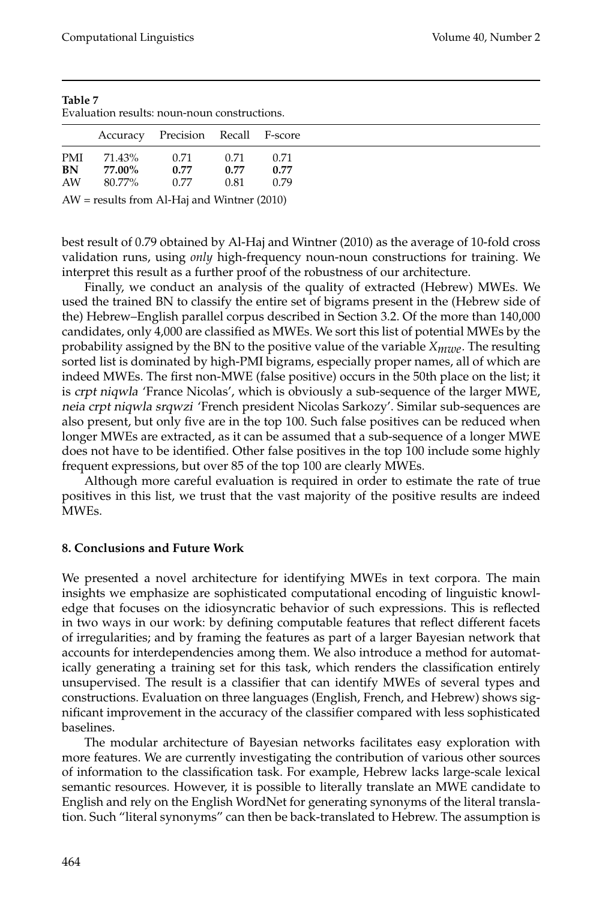|     | <u>o di alamini iliyahasi ilo ah hokhi condon acabitu.</u> |      |      |      |  |  |
|-----|------------------------------------------------------------|------|------|------|--|--|
|     | Accuracy Precision Recall F-score                          |      |      |      |  |  |
| PMI | 71.43%                                                     | 0.71 | 0.71 | 0.71 |  |  |
| BN  | 77.00%                                                     | 0.77 | 0.77 | 0.77 |  |  |
| AW  | 80.77%                                                     | 0.77 | 0.81 | 0.79 |  |  |
|     | المتحمد المتعاونة والمعاونة والمارة المتعاونة              |      |      |      |  |  |

| Table 7 |                                              |  |
|---------|----------------------------------------------|--|
|         | Evaluation results: noun-noun constructions. |  |

AW = results from Al-Haj and Wintner (2010)

best result of 0.79 obtained by Al-Haj and Wintner (2010) as the average of 10-fold cross validation runs, using *only* high-frequency noun-noun constructions for training. We interpret this result as a further proof of the robustness of our architecture.

Finally, we conduct an analysis of the quality of extracted (Hebrew) MWEs. We used the trained BN to classify the entire set of bigrams present in the (Hebrew side of the) Hebrew–English parallel corpus described in Section 3.2. Of the more than 140,000 candidates, only 4,000 are classified as MWEs. We sort this list of potential MWEs by the probability assigned by the BN to the positive value of the variable *Xmwe*. The resulting sorted list is dominated by high-PMI bigrams, especially proper names, all of which are indeed MWEs. The first non-MWE (false positive) occurs in the 50th place on the list; it is crpt niqwla 'France Nicolas', which is obviously a sub-sequence of the larger MWE, neia crpt niqwla srqwzi 'French president Nicolas Sarkozy'. Similar sub-sequences are also present, but only five are in the top 100. Such false positives can be reduced when longer MWEs are extracted, as it can be assumed that a sub-sequence of a longer MWE does not have to be identified. Other false positives in the top 100 include some highly frequent expressions, but over 85 of the top 100 are clearly MWEs.

Although more careful evaluation is required in order to estimate the rate of true positives in this list, we trust that the vast majority of the positive results are indeed MWEs.

#### **8. Conclusions and Future Work**

We presented a novel architecture for identifying MWEs in text corpora. The main insights we emphasize are sophisticated computational encoding of linguistic knowledge that focuses on the idiosyncratic behavior of such expressions. This is reflected in two ways in our work: by defining computable features that reflect different facets of irregularities; and by framing the features as part of a larger Bayesian network that accounts for interdependencies among them. We also introduce a method for automatically generating a training set for this task, which renders the classification entirely unsupervised. The result is a classifier that can identify MWEs of several types and constructions. Evaluation on three languages (English, French, and Hebrew) shows significant improvement in the accuracy of the classifier compared with less sophisticated baselines.

The modular architecture of Bayesian networks facilitates easy exploration with more features. We are currently investigating the contribution of various other sources of information to the classification task. For example, Hebrew lacks large-scale lexical semantic resources. However, it is possible to literally translate an MWE candidate to English and rely on the English WordNet for generating synonyms of the literal translation. Such "literal synonyms" can then be back-translated to Hebrew. The assumption is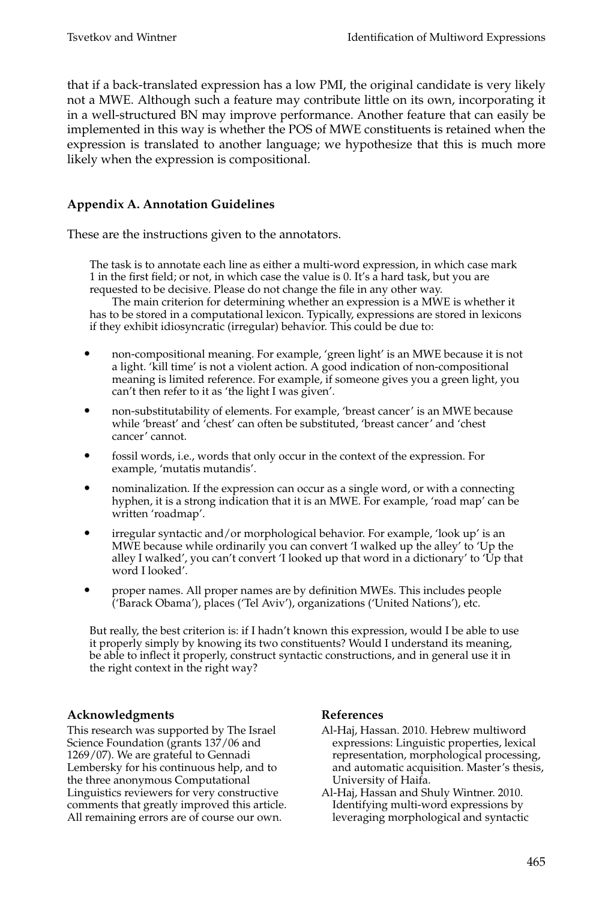that if a back-translated expression has a low PMI, the original candidate is very likely not a MWE. Although such a feature may contribute little on its own, incorporating it in a well-structured BN may improve performance. Another feature that can easily be implemented in this way is whether the POS of MWE constituents is retained when the expression is translated to another language; we hypothesize that this is much more likely when the expression is compositional.

#### **Appendix A. Annotation Guidelines**

These are the instructions given to the annotators.

The task is to annotate each line as either a multi-word expression, in which case mark 1 in the first field; or not, in which case the value is 0. It's a hard task, but you are requested to be decisive. Please do not change the file in any other way.

The main criterion for determining whether an expression is a MWE is whether it has to be stored in a computational lexicon. Typically, expressions are stored in lexicons if they exhibit idiosyncratic (irregular) behavior. This could be due to:

- non-compositional meaning. For example, 'green light' is an MWE because it is not a light. 'kill time' is not a violent action. A good indication of non-compositional meaning is limited reference. For example, if someone gives you a green light, you can't then refer to it as 'the light I was given'.
- non-substitutability of elements. For example, 'breast cancer' is an MWE because while 'breast' and 'chest' can often be substituted, 'breast cancer' and 'chest cancer' cannot.
- fossil words, i.e., words that only occur in the context of the expression. For example, 'mutatis mutandis'.
- nominalization. If the expression can occur as a single word, or with a connecting hyphen, it is a strong indication that it is an MWE. For example, 'road map' can be written 'roadmap'.
- irregular syntactic and/or morphological behavior. For example, 'look up' is an MWE because while ordinarily you can convert 'I walked up the alley' to 'Up the alley I walked', you can't convert 'I looked up that word in a dictionary' to 'Up that word I looked'.
- proper names. All proper names are by definition MWEs. This includes people ('Barack Obama'), places ('Tel Aviv'), organizations ('United Nations'), etc.

But really, the best criterion is: if I hadn't known this expression, would I be able to use it properly simply by knowing its two constituents? Would I understand its meaning, be able to inflect it properly, construct syntactic constructions, and in general use it in the right context in the right way?

#### **Acknowledgments**

This research was supported by The Israel Science Foundation (grants 137/06 and 1269/07). We are grateful to Gennadi Lembersky for his continuous help, and to the three anonymous Computational Linguistics reviewers for very constructive comments that greatly improved this article. All remaining errors are of course our own.

#### **References**

- Al-Haj, Hassan. 2010. Hebrew multiword expressions: Linguistic properties, lexical representation, morphological processing, and automatic acquisition. Master's thesis, University of Haifa.
- Al-Haj, Hassan and Shuly Wintner. 2010. Identifying multi-word expressions by leveraging morphological and syntactic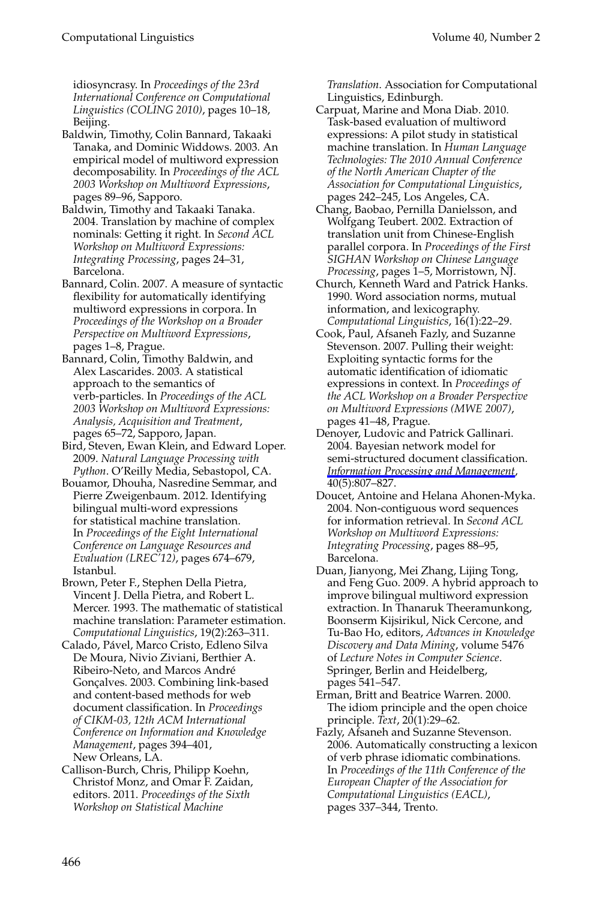#### Computational Linguistics Volume 40, Number 2

idiosyncrasy. In *Proceedings of the 23rd International Conference on Computational Linguistics (COLING 2010)*, pages 10–18, Beijing.

- Baldwin, Timothy, Colin Bannard, Takaaki Tanaka, and Dominic Widdows. 2003. An empirical model of multiword expression decomposability. In *Proceedings of the ACL 2003 Workshop on Multiword Expressions*, pages 89–96, Sapporo.
- Baldwin, Timothy and Takaaki Tanaka. 2004. Translation by machine of complex nominals: Getting it right. In *Second ACL Workshop on Multiword Expressions: Integrating Processing*, pages 24–31, Barcelona.
- Bannard, Colin. 2007. A measure of syntactic flexibility for automatically identifying multiword expressions in corpora. In *Proceedings of the Workshop on a Broader Perspective on Multiword Expressions*, pages 1–8, Prague.
- Bannard, Colin, Timothy Baldwin, and Alex Lascarides. 2003. A statistical approach to the semantics of verb-particles. In *Proceedings of the ACL 2003 Workshop on Multiword Expressions: Analysis, Acquisition and Treatment*, pages 65–72, Sapporo, Japan.
- Bird, Steven, Ewan Klein, and Edward Loper. 2009. *Natural Language Processing with Python*. O'Reilly Media, Sebastopol, CA.
- Bouamor, Dhouha, Nasredine Semmar, and Pierre Zweigenbaum. 2012. Identifying bilingual multi-word expressions for statistical machine translation. In *Proceedings of the Eight International Conference on Language Resources and Evaluation (LREC'12)*, pages 674–679, Istanbul.
- Brown, Peter F., Stephen Della Pietra, Vincent J. Della Pietra, and Robert L. Mercer. 1993. The mathematic of statistical machine translation: Parameter estimation. *Computational Linguistics*, 19(2):263–311.
- Calado, Pável, Marco Cristo, Edleno Silva De Moura, Nivio Ziviani, Berthier A. Ribeiro-Neto, and Marcos Andre´ Goncalves. 2003. Combining link-based and content-based methods for web document classification. In *Proceedings of CIKM-03, 12th ACM International Conference on Information and Knowledge Management*, pages 394–401, New Orleans, LA.
- Callison-Burch, Chris, Philipp Koehn, Christof Monz, and Omar F. Zaidan, editors. 2011. *Proceedings of the Sixth Workshop on Statistical Machine*

*Translation*. Association for Computational Linguistics, Edinburgh.

- Carpuat, Marine and Mona Diab. 2010. Task-based evaluation of multiword expressions: A pilot study in statistical machine translation. In *Human Language Technologies: The 2010 Annual Conference of the North American Chapter of the Association for Computational Linguistics*, pages 242–245, Los Angeles, CA.
- Chang, Baobao, Pernilla Danielsson, and Wolfgang Teubert. 2002. Extraction of translation unit from Chinese-English parallel corpora. In *Proceedings of the First SIGHAN Workshop on Chinese Language Processing*, pages 1–5, Morristown, NJ.
- Church, Kenneth Ward and Patrick Hanks. 1990. Word association norms, mutual information, and lexicography. *Computational Linguistics*, 16(1):22–29.
- Cook, Paul, Afsaneh Fazly, and Suzanne Stevenson. 2007. Pulling their weight: Exploiting syntactic forms for the automatic identification of idiomatic [expressions in context. In](http://www.mitpressjournals.org/action/showLinks?crossref=10.1016%2Fj.ipm.2004.04.009) *Proceedings of the ACL Workshop on a Broader Perspective on Multiword Expressions (MWE 2007)*, pages 41–48, Prague.
- Denoyer, Ludovic and Patrick Gallinari. 2004. Bayesian network model for semi-structured document classification. *Information Processing and Management*, 40(5):807–827.
- Doucet, Antoine and Helana Ahonen-Myka. 2004. Non-contiguous word sequences for information retrieval. In *Second ACL Workshop on Multiword Expressions: Integrating Processing*, pages 88–95, Barcelona.
- Duan, Jianyong, Mei Zhang, Lijing Tong, and Feng Guo. 2009. A hybrid approach to improve bilingual multiword expression extraction. In Thanaruk Theeramunkong, Boonserm Kijsirikul, Nick Cercone, and Tu-Bao Ho, editors, *Advances in Knowledge Discovery and Data Mining*, volume 5476 of *Lecture Notes in Computer Science*. Springer, Berlin and Heidelberg, pages 541–547.
- Erman, Britt and Beatrice Warren. 2000. The idiom principle and the open choice principle. *Text*, 20(1):29–62.
- Fazly, Afsaneh and Suzanne Stevenson. 2006. Automatically constructing a lexicon of verb phrase idiomatic combinations. In *Proceedings of the 11th Conference of the European Chapter of the Association for Computational Linguistics (EACL)*, pages 337–344, Trento.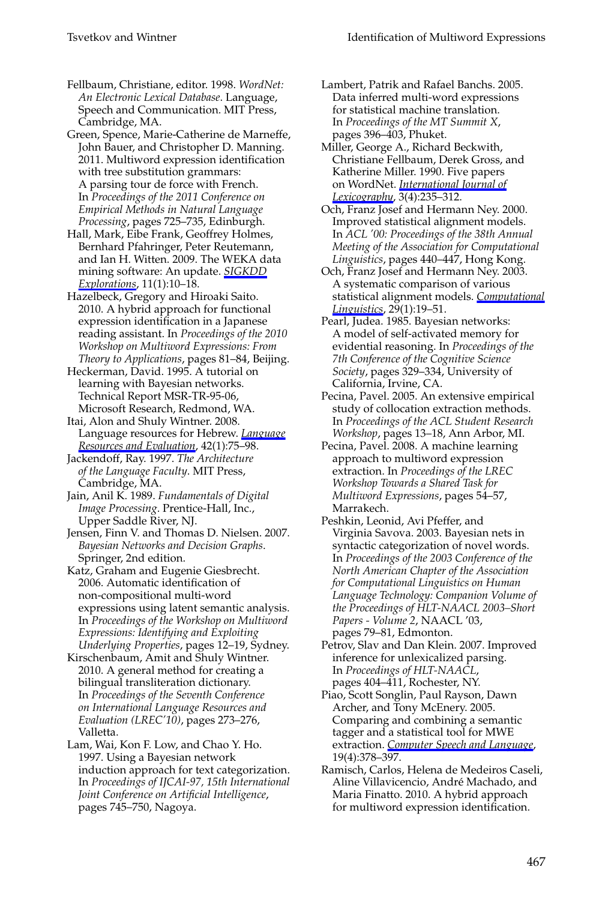- Fellbaum, Christiane, editor. 1998. *WordNet: An Electronic Lexical Database*. Language, Speech and Communication. MIT Press, Cambridge, MA.
- Green, Spence, Marie-Catherine de Marneffe, John Bauer, and Christopher D. Manning. 2011. Multiword expression identification with tree substitution grammars: A parsing tour de force with [French.](http://www.mitpressjournals.org/action/showLinks?crossref=10.1145%2F1656274.1656278) In *[Proceeding](http://www.mitpressjournals.org/action/showLinks?crossref=10.1145%2F1656274.1656278)s of the 2011 Conference on Empirical Methods in Natural Language Processing*, pages 725–735, Edinburgh.
- Hall, Mark, Eibe Frank, Geoffrey Holmes, Bernhard Pfahringer, Peter Reutemann, and Ian H. Witten. 2009. The WEKA data mining software: An update. *SIGKDD Explorations*, 11(1):10–18.
- Hazelbeck, Gregory and Hiroaki Saito. 2010. A hybrid approach for functional expression identification in a Japanese reading assistant. In *Proceedings of the 2010 Workshop on Multiword Expressio[ns: From](http://www.mitpressjournals.org/action/showLinks?crossref=10.1007%2Fs10579-007-9050-8) [Theory to Applications](http://www.mitpressjournals.org/action/showLinks?crossref=10.1007%2Fs10579-007-9050-8)*, pages 81–84, Beijing.
- Heckerman, David. 1995. A tutorial on learning with Bayesian networks. Technical Report MSR-TR-95-06, Microsoft Research, Redmond, WA.
- Itai, Alon and Shuly Wintner. 2008. Language resources for Hebrew. *Language Resources and Evaluation*, 42(1):75–98.
- Jackendoff, Ray. 1997. *The Architecture of the Language Faculty*. MIT Press, Cambridge, MA.
- Jain, Anil K. 1989. *Fundamentals of Digital Image Processing*. Prentice-Hall, Inc., Upper Saddle River, NJ.
- Jensen, Finn V. and Thomas D. Nielsen. 2007. *Bayesian Networks and Decision Graphs*. Springer, 2nd edition.
- Katz, Graham and Eugenie Giesbrecht. 2006. Automatic identification of non-compositional multi-word expressions using latent semantic analysis. In *Proceedings of the Workshop on Multiword Expressions: Identifying and Exploiting Underlying Properties*, pages 12–19, Sydney.
- Kirschenbaum, Amit and Shuly Wintner. 2010. A general method for creating a bilingual transliteration dictionary. In *Proceedings of the Seventh Conference on International Language Resources and Evaluation (LREC'10)*, pages 273–276, Valletta.
- Lam, Wai, Kon F. Low, and Chao Y. Ho. 1997. Using a Bayesian network induction approach for text categorization. In *Proceedings of IJCAI-97, 15th International Joint Conference on Artificial Intelligence*, pages 745–750, Nagoya.
- Lambert, Patrik and Rafael Banchs. 2005. Data inferred [multi-word expressio](http://www.mitpressjournals.org/action/showLinks?crossref=10.1093%2Fijl%2F3.4.235)ns [for](http://www.mitpressjournals.org/action/showLinks?crossref=10.1093%2Fijl%2F3.4.235) [statistica](http://www.mitpressjournals.org/action/showLinks?crossref=10.1093%2Fijl%2F3.4.235)l machine translation. In *Proceedings of the MT Summit X*, pages 396–403, Phuket.
- Miller, George A., Richard Beckwith, Christiane Fellbaum, Derek Gross, and Katherine Miller. 1990. Five papers on WordNet. *International Journal of Lexicography*, 3(4):235–312.
- Och, Franz Josef and Hermann [Ney. 2000.](http://www.mitpressjournals.org/action/showLinks?system=10.1162%2F089120103321337421) [Improved](http://www.mitpressjournals.org/action/showLinks?system=10.1162%2F089120103321337421) statistical alignment models. In *ACL '00: Proceedings of the 38th Annual Meeting of the Association for Computational Linguistics*, pages 440–447, Hong Kong.
- Och, Franz Josef and Hermann Ney. 2003. A systematic comparison of various statistical alignment models. *Computational Linguistics*, 29(1):19–51.
- Pearl, Judea. 1985. Bayesian networks: A model of self-activated memory for evidential reasoning. In *Proceedings of the 7th Conference of the Cognitive Science Society*, pages 329–334, University of California, Irvine, CA.
- Pecina, Pavel. 2005. An extensive empirical study of collocation extraction methods. In *Proceedings of the ACL Student Research Workshop*, pages 13–18, Ann Arbor, MI.
- Pecina, Pavel. 2008. A machine learning approach to multiword expression extraction. In *Proceedings of the LREC Workshop Towards a Shared Task for Multiword Expressions*, pages 54–57, Marrakech.
- Peshkin, Leonid, Avi Pfeffer, and Virginia Savova. 2003. Bayesian nets in syntactic categorization of novel words. In *Proceedings of the 2003 Conference of the North American Chapter of the Association for Computational Linguistics on Human Language Technology: Companion Volume of the Proceedings of HLT-NAACL 2003–Short Papers - Volume 2*, NAACL '03, pages 79–81, Edmonton.
- Petrov, Slav and Dan Klein. 2007. Improved inference f[or unlexicalized parsing.](http://www.mitpressjournals.org/action/showLinks?crossref=10.1016%2Fj.csl.2004.11.002) In *Proceedings of HLT-NAACL*, pages 404–411, Rochester, NY.
- Piao, Scott Songlin, Paul Rayson, Dawn Archer, and Tony McEnery. 2005. Comparing and combining a semantic tagger and a statistical tool for MWE extraction. *Computer Speech and Language*, 19(4):378–397.
- Ramisch, Carlos, Helena de Medeiros Caseli, Aline Villavicencio, Andre Machado, and ´ Maria Finatto. 2010. A hybrid approach for multiword expression identification.